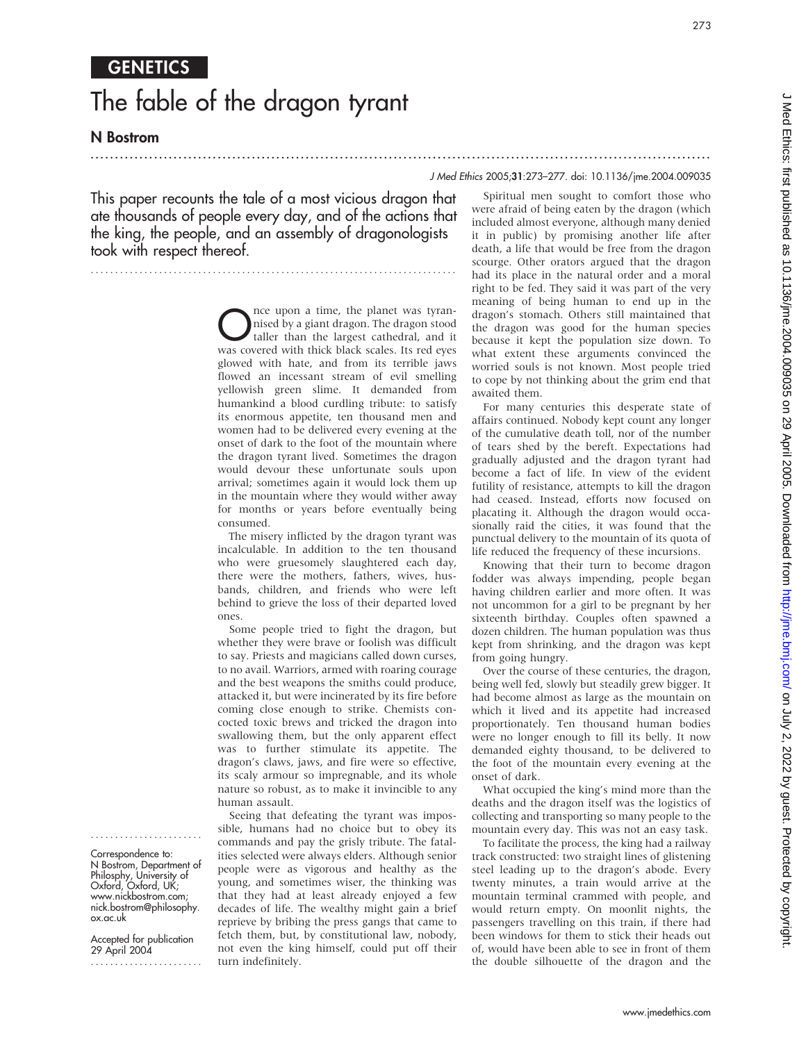# The fable of the dragon tyrant

# N Bostrom

...............................................................................................................................

# J Med Ethics 2005;31:273–277. doi: 10.1136/jme.2004.009035

This paper recounts the tale of a most vicious dragon that ate thousands of people every day, and of the actions that the king, the people, and an assembly of dragonologists took with respect thereof.

...........................................................................

The upon a time, the planet was tyran-<br>nised by a giant dragon. The dragon stood<br>taller than the largest cathedral, and it nised by a giant dragon. The dragon stood taller than the largest cathedral, and it was covered with thick black scales. Its red eyes glowed with hate, and from its terrible jaws flowed an incessant stream of evil smelling yellowish green slime. It demanded from humankind a blood curdling tribute: to satisfy its enormous appetite, ten thousand men and women had to be delivered every evening at the onset of dark to the foot of the mountain where the dragon tyrant lived. Sometimes the dragon would devour these unfortunate souls upon arrival; sometimes again it would lock them up in the mountain where they would wither away for months or years before eventually being consumed.

The misery inflicted by the dragon tyrant was incalculable. In addition to the ten thousand who were gruesomely slaughtered each day, there were the mothers, fathers, wives, husbands, children, and friends who were left behind to grieve the loss of their departed loved ones.

Some people tried to fight the dragon, but whether they were brave or foolish was difficult to say. Priests and magicians called down curses, to no avail. Warriors, armed with roaring courage and the best weapons the smiths could produce, attacked it, but were incinerated by its fire before coming close enough to strike. Chemists concocted toxic brews and tricked the dragon into swallowing them, but the only apparent effect was to further stimulate its appetite. The dragon's claws, jaws, and fire were so effective, its scaly armour so impregnable, and its whole nature so robust, as to make it invincible to any human assault.

Seeing that defeating the tyrant was impossible, humans had no choice but to obey its commands and pay the grisly tribute. The fatalities selected were always elders. Although senior people were as vigorous and healthy as the young, and sometimes wiser, the thinking was that they had at least already enjoyed a few decades of life. The wealthy might gain a brief reprieve by bribing the press gangs that came to fetch them, but, by constitutional law, nobody, not even the king himself, could put off their turn indefinitely.

Spiritual men sought to comfort those who were afraid of being eaten by the dragon (which included almost everyone, although many denied it in public) by promising another life after death, a life that would be free from the dragon scourge. Other orators argued that the dragon had its place in the natural order and a moral right to be fed. They said it was part of the very meaning of being human to end up in the dragon's stomach. Others still maintained that the dragon was good for the human species because it kept the population size down. To what extent these arguments convinced the worried souls is not known. Most people tried to cope by not thinking about the grim end that awaited them.

For many centuries this desperate state of affairs continued. Nobody kept count any longer of the cumulative death toll, nor of the number of tears shed by the bereft. Expectations had gradually adjusted and the dragon tyrant had become a fact of life. In view of the evident futility of resistance, attempts to kill the dragon had ceased. Instead, efforts now focused on placating it. Although the dragon would occasionally raid the cities, it was found that the punctual delivery to the mountain of its quota of life reduced the frequency of these incursions.

Knowing that their turn to become dragon fodder was always impending, people began having children earlier and more often. It was not uncommon for a girl to be pregnant by her sixteenth birthday. Couples often spawned a dozen children. The human population was thus kept from shrinking, and the dragon was kept from going hungry.

Over the course of these centuries, the dragon, being well fed, slowly but steadily grew bigger. It had become almost as large as the mountain on which it lived and its appetite had increased proportionately. Ten thousand human bodies were no longer enough to fill its belly. It now demanded eighty thousand, to be delivered to the foot of the mountain every evening at the onset of dark.

What occupied the king's mind more than the deaths and the dragon itself was the logistics of collecting and transporting so many people to the mountain every day. This was not an easy task.

To facilitate the process, the king had a railway track constructed: two straight lines of glistening steel leading up to the dragon's abode. Every twenty minutes, a train would arrive at the mountain terminal crammed with people, and would return empty. On moonlit nights, the passengers travelling on this train, if there had been windows for them to stick their heads out of, would have been able to see in front of them the double silhouette of the dragon and the

Correspondence to: N Bostrom, Department of Philosphy, University of Oxford, Oxford, UK; www.nickbostrom.com; nick.bostrom@philosophy. ox.ac.uk

.......................

Accepted for publication 29 April 2004 .......................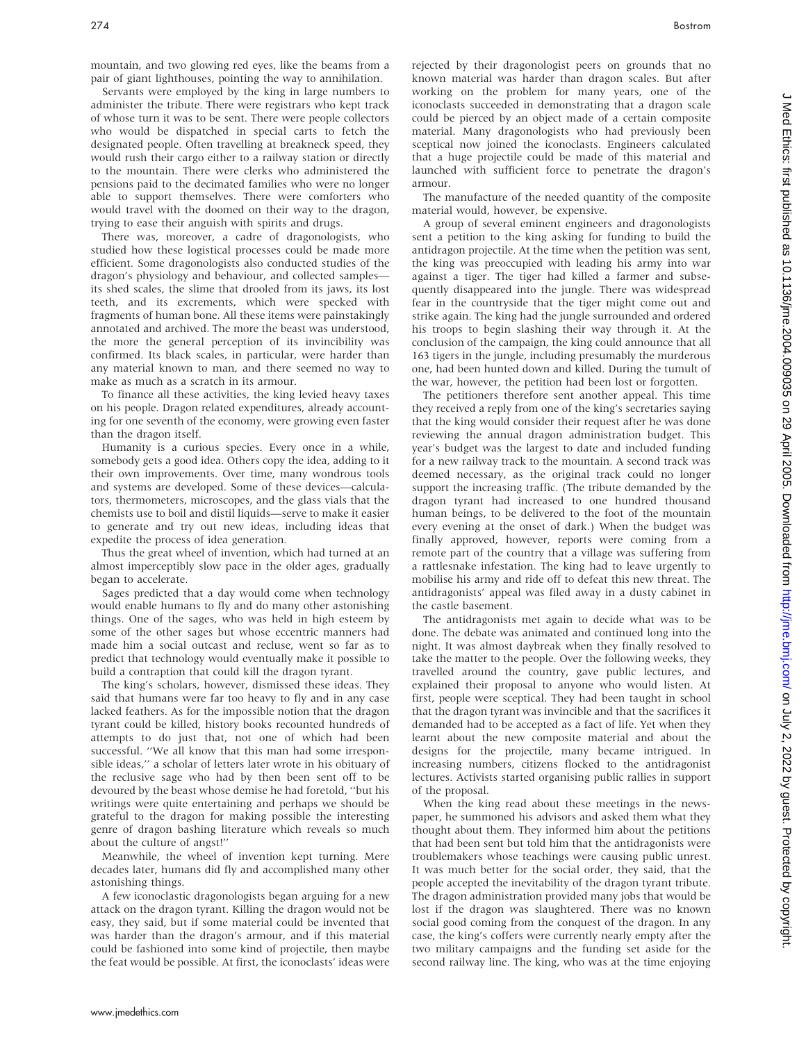mountain, and two glowing red eyes, like the beams from a pair of giant lighthouses, pointing the way to annihilation.

Servants were employed by the king in large numbers to administer the tribute. There were registrars who kept track of whose turn it was to be sent. There were people collectors who would be dispatched in special carts to fetch the designated people. Often travelling at breakneck speed, they would rush their cargo either to a railway station or directly to the mountain. There were clerks who administered the pensions paid to the decimated families who were no longer able to support themselves. There were comforters who would travel with the doomed on their way to the dragon, trying to ease their anguish with spirits and drugs.

There was, moreover, a cadre of dragonologists, who studied how these logistical processes could be made more efficient. Some dragonologists also conducted studies of the dragon's physiology and behaviour, and collected samples its shed scales, the slime that drooled from its jaws, its lost teeth, and its excrements, which were specked with fragments of human bone. All these items were painstakingly annotated and archived. The more the beast was understood, the more the general perception of its invincibility was confirmed. Its black scales, in particular, were harder than any material known to man, and there seemed no way to make as much as a scratch in its armour.

To finance all these activities, the king levied heavy taxes on his people. Dragon related expenditures, already accounting for one seventh of the economy, were growing even faster than the dragon itself.

Humanity is a curious species. Every once in a while, somebody gets a good idea. Others copy the idea, adding to it their own improvements. Over time, many wondrous tools and systems are developed. Some of these devices—calculators, thermometers, microscopes, and the glass vials that the chemists use to boil and distil liquids—serve to make it easier to generate and try out new ideas, including ideas that expedite the process of idea generation.

Thus the great wheel of invention, which had turned at an almost imperceptibly slow pace in the older ages, gradually began to accelerate.

Sages predicted that a day would come when technology would enable humans to fly and do many other astonishing things. One of the sages, who was held in high esteem by some of the other sages but whose eccentric manners had made him a social outcast and recluse, went so far as to predict that technology would eventually make it possible to build a contraption that could kill the dragon tyrant.

The king's scholars, however, dismissed these ideas. They said that humans were far too heavy to fly and in any case lacked feathers. As for the impossible notion that the dragon tyrant could be killed, history books recounted hundreds of attempts to do just that, not one of which had been successful. ''We all know that this man had some irresponsible ideas,'' a scholar of letters later wrote in his obituary of the reclusive sage who had by then been sent off to be devoured by the beast whose demise he had foretold, ''but his writings were quite entertaining and perhaps we should be grateful to the dragon for making possible the interesting genre of dragon bashing literature which reveals so much about the culture of angst!''

Meanwhile, the wheel of invention kept turning. Mere decades later, humans did fly and accomplished many other astonishing things.

A few iconoclastic dragonologists began arguing for a new attack on the dragon tyrant. Killing the dragon would not be easy, they said, but if some material could be invented that was harder than the dragon's armour, and if this material could be fashioned into some kind of projectile, then maybe the feat would be possible. At first, the iconoclasts' ideas were rejected by their dragonologist peers on grounds that no known material was harder than dragon scales. But after working on the problem for many years, one of the iconoclasts succeeded in demonstrating that a dragon scale could be pierced by an object made of a certain composite material. Many dragonologists who had previously been sceptical now joined the iconoclasts. Engineers calculated that a huge projectile could be made of this material and launched with sufficient force to penetrate the dragon's armour.

The manufacture of the needed quantity of the composite material would, however, be expensive.

A group of several eminent engineers and dragonologists sent a petition to the king asking for funding to build the antidragon projectile. At the time when the petition was sent, the king was preoccupied with leading his army into war against a tiger. The tiger had killed a farmer and subsequently disappeared into the jungle. There was widespread fear in the countryside that the tiger might come out and strike again. The king had the jungle surrounded and ordered his troops to begin slashing their way through it. At the conclusion of the campaign, the king could announce that all 163 tigers in the jungle, including presumably the murderous one, had been hunted down and killed. During the tumult of the war, however, the petition had been lost or forgotten.

The petitioners therefore sent another appeal. This time they received a reply from one of the king's secretaries saying that the king would consider their request after he was done reviewing the annual dragon administration budget. This year's budget was the largest to date and included funding for a new railway track to the mountain. A second track was deemed necessary, as the original track could no longer support the increasing traffic. (The tribute demanded by the dragon tyrant had increased to one hundred thousand human beings, to be delivered to the foot of the mountain every evening at the onset of dark.) When the budget was finally approved, however, reports were coming from a remote part of the country that a village was suffering from a rattlesnake infestation. The king had to leave urgently to mobilise his army and ride off to defeat this new threat. The antidragonists' appeal was filed away in a dusty cabinet in the castle basement.

The antidragonists met again to decide what was to be done. The debate was animated and continued long into the night. It was almost daybreak when they finally resolved to take the matter to the people. Over the following weeks, they travelled around the country, gave public lectures, and explained their proposal to anyone who would listen. At first, people were sceptical. They had been taught in school that the dragon tyrant was invincible and that the sacrifices it demanded had to be accepted as a fact of life. Yet when they learnt about the new composite material and about the designs for the projectile, many became intrigued. In increasing numbers, citizens flocked to the antidragonist lectures. Activists started organising public rallies in support of the proposal.

When the king read about these meetings in the newspaper, he summoned his advisors and asked them what they thought about them. They informed him about the petitions that had been sent but told him that the antidragonists were troublemakers whose teachings were causing public unrest. It was much better for the social order, they said, that the people accepted the inevitability of the dragon tyrant tribute. The dragon administration provided many jobs that would be lost if the dragon was slaughtered. There was no known social good coming from the conquest of the dragon. In any case, the king's coffers were currently nearly empty after the two military campaigns and the funding set aside for the second railway line. The king, who was at the time enjoying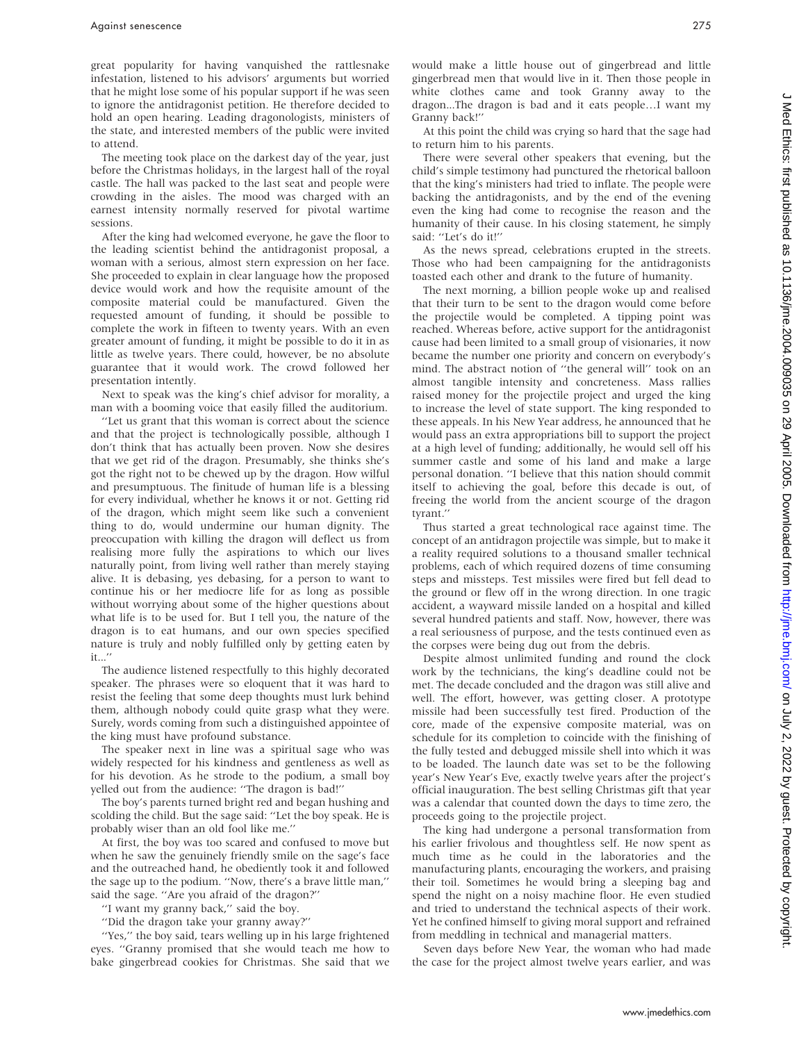great popularity for having vanquished the rattlesnake infestation, listened to his advisors' arguments but worried that he might lose some of his popular support if he was seen to ignore the antidragonist petition. He therefore decided to hold an open hearing. Leading dragonologists, ministers of the state, and interested members of the public were invited to attend.

The meeting took place on the darkest day of the year, just before the Christmas holidays, in the largest hall of the royal castle. The hall was packed to the last seat and people were crowding in the aisles. The mood was charged with an earnest intensity normally reserved for pivotal wartime sessions.

After the king had welcomed everyone, he gave the floor to the leading scientist behind the antidragonist proposal, a woman with a serious, almost stern expression on her face. She proceeded to explain in clear language how the proposed device would work and how the requisite amount of the composite material could be manufactured. Given the requested amount of funding, it should be possible to complete the work in fifteen to twenty years. With an even greater amount of funding, it might be possible to do it in as little as twelve years. There could, however, be no absolute guarantee that it would work. The crowd followed her presentation intently.

Next to speak was the king's chief advisor for morality, a man with a booming voice that easily filled the auditorium.

''Let us grant that this woman is correct about the science and that the project is technologically possible, although I don't think that has actually been proven. Now she desires that we get rid of the dragon. Presumably, she thinks she's got the right not to be chewed up by the dragon. How wilful and presumptuous. The finitude of human life is a blessing for every individual, whether he knows it or not. Getting rid of the dragon, which might seem like such a convenient thing to do, would undermine our human dignity. The preoccupation with killing the dragon will deflect us from realising more fully the aspirations to which our lives naturally point, from living well rather than merely staying alive. It is debasing, yes debasing, for a person to want to continue his or her mediocre life for as long as possible without worrying about some of the higher questions about what life is to be used for. But I tell you, the nature of the dragon is to eat humans, and our own species specified nature is truly and nobly fulfilled only by getting eaten by it...''

The audience listened respectfully to this highly decorated speaker. The phrases were so eloquent that it was hard to resist the feeling that some deep thoughts must lurk behind them, although nobody could quite grasp what they were. Surely, words coming from such a distinguished appointee of the king must have profound substance.

The speaker next in line was a spiritual sage who was widely respected for his kindness and gentleness as well as for his devotion. As he strode to the podium, a small boy yelled out from the audience: ''The dragon is bad!''

The boy's parents turned bright red and began hushing and scolding the child. But the sage said: ''Let the boy speak. He is probably wiser than an old fool like me.''

At first, the boy was too scared and confused to move but when he saw the genuinely friendly smile on the sage's face and the outreached hand, he obediently took it and followed the sage up to the podium. ''Now, there's a brave little man,'' said the sage. ''Are you afraid of the dragon?''

''I want my granny back,'' said the boy.

''Did the dragon take your granny away?''

''Yes,'' the boy said, tears welling up in his large frightened eyes. ''Granny promised that she would teach me how to bake gingerbread cookies for Christmas. She said that we would make a little house out of gingerbread and little gingerbread men that would live in it. Then those people in white clothes came and took Granny away to the dragon...The dragon is bad and it eats people…I want my Granny back!''

At this point the child was crying so hard that the sage had to return him to his parents.

There were several other speakers that evening, but the child's simple testimony had punctured the rhetorical balloon that the king's ministers had tried to inflate. The people were backing the antidragonists, and by the end of the evening even the king had come to recognise the reason and the humanity of their cause. In his closing statement, he simply said: ''Let's do it!''

As the news spread, celebrations erupted in the streets. Those who had been campaigning for the antidragonists toasted each other and drank to the future of humanity.

The next morning, a billion people woke up and realised that their turn to be sent to the dragon would come before the projectile would be completed. A tipping point was reached. Whereas before, active support for the antidragonist cause had been limited to a small group of visionaries, it now became the number one priority and concern on everybody's mind. The abstract notion of ''the general will'' took on an almost tangible intensity and concreteness. Mass rallies raised money for the projectile project and urged the king to increase the level of state support. The king responded to these appeals. In his New Year address, he announced that he would pass an extra appropriations bill to support the project at a high level of funding; additionally, he would sell off his summer castle and some of his land and make a large personal donation. ''I believe that this nation should commit itself to achieving the goal, before this decade is out, of freeing the world from the ancient scourge of the dragon tyrant.''

Thus started a great technological race against time. The concept of an antidragon projectile was simple, but to make it a reality required solutions to a thousand smaller technical problems, each of which required dozens of time consuming steps and missteps. Test missiles were fired but fell dead to the ground or flew off in the wrong direction. In one tragic accident, a wayward missile landed on a hospital and killed several hundred patients and staff. Now, however, there was a real seriousness of purpose, and the tests continued even as the corpses were being dug out from the debris.

Despite almost unlimited funding and round the clock work by the technicians, the king's deadline could not be met. The decade concluded and the dragon was still alive and well. The effort, however, was getting closer. A prototype missile had been successfully test fired. Production of the core, made of the expensive composite material, was on schedule for its completion to coincide with the finishing of the fully tested and debugged missile shell into which it was to be loaded. The launch date was set to be the following year's New Year's Eve, exactly twelve years after the project's official inauguration. The best selling Christmas gift that year was a calendar that counted down the days to time zero, the proceeds going to the projectile project.

The king had undergone a personal transformation from his earlier frivolous and thoughtless self. He now spent as much time as he could in the laboratories and the manufacturing plants, encouraging the workers, and praising their toil. Sometimes he would bring a sleeping bag and spend the night on a noisy machine floor. He even studied and tried to understand the technical aspects of their work. Yet he confined himself to giving moral support and refrained from meddling in technical and managerial matters.

Seven days before New Year, the woman who had made the case for the project almost twelve years earlier, and was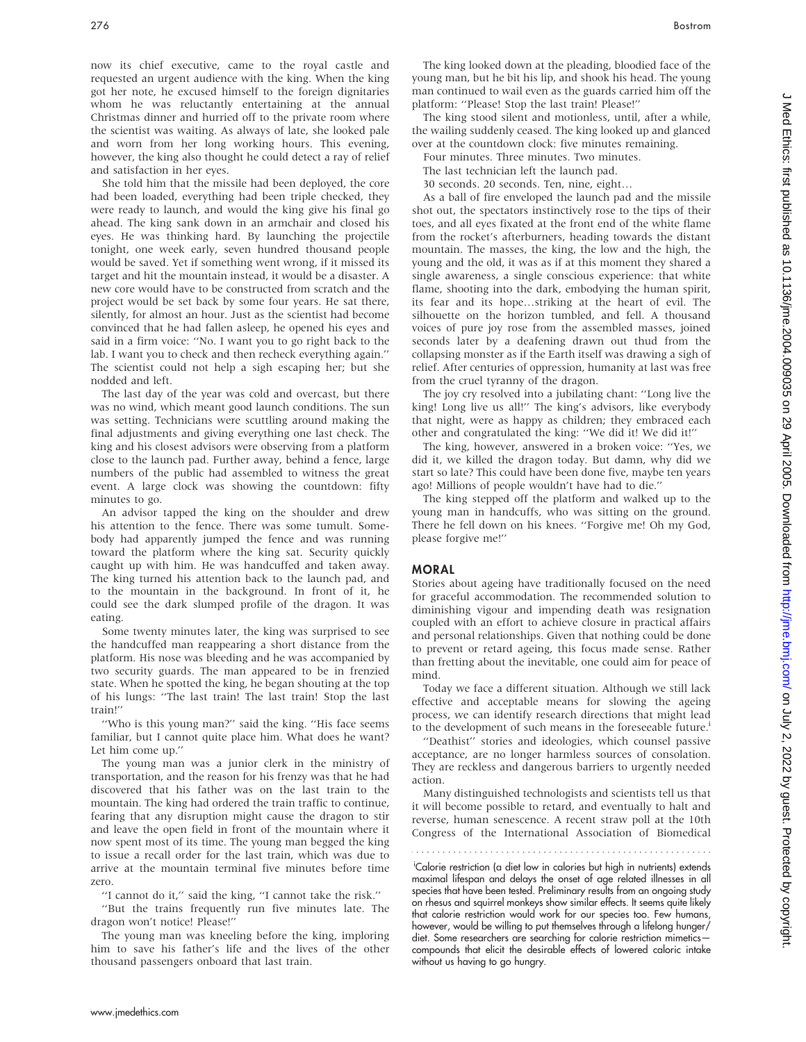now its chief executive, came to the royal castle and requested an urgent audience with the king. When the king got her note, he excused himself to the foreign dignitaries whom he was reluctantly entertaining at the annual Christmas dinner and hurried off to the private room where the scientist was waiting. As always of late, she looked pale and worn from her long working hours. This evening, however, the king also thought he could detect a ray of relief and satisfaction in her eyes.

She told him that the missile had been deployed, the core had been loaded, everything had been triple checked, they were ready to launch, and would the king give his final go ahead. The king sank down in an armchair and closed his eyes. He was thinking hard. By launching the projectile tonight, one week early, seven hundred thousand people would be saved. Yet if something went wrong, if it missed its target and hit the mountain instead, it would be a disaster. A new core would have to be constructed from scratch and the project would be set back by some four years. He sat there, silently, for almost an hour. Just as the scientist had become convinced that he had fallen asleep, he opened his eyes and said in a firm voice: ''No. I want you to go right back to the lab. I want you to check and then recheck everything again.'' The scientist could not help a sigh escaping her; but she nodded and left.

The last day of the year was cold and overcast, but there was no wind, which meant good launch conditions. The sun was setting. Technicians were scuttling around making the final adjustments and giving everything one last check. The king and his closest advisors were observing from a platform close to the launch pad. Further away, behind a fence, large numbers of the public had assembled to witness the great event. A large clock was showing the countdown: fifty minutes to go.

An advisor tapped the king on the shoulder and drew his attention to the fence. There was some tumult. Somebody had apparently jumped the fence and was running toward the platform where the king sat. Security quickly caught up with him. He was handcuffed and taken away. The king turned his attention back to the launch pad, and to the mountain in the background. In front of it, he could see the dark slumped profile of the dragon. It was eating.

Some twenty minutes later, the king was surprised to see the handcuffed man reappearing a short distance from the platform. His nose was bleeding and he was accompanied by two security guards. The man appeared to be in frenzied state. When he spotted the king, he began shouting at the top of his lungs: ''The last train! The last train! Stop the last train!''

''Who is this young man?'' said the king. ''His face seems familiar, but I cannot quite place him. What does he want? Let him come up.''

The young man was a junior clerk in the ministry of transportation, and the reason for his frenzy was that he had discovered that his father was on the last train to the mountain. The king had ordered the train traffic to continue, fearing that any disruption might cause the dragon to stir and leave the open field in front of the mountain where it now spent most of its time. The young man begged the king to issue a recall order for the last train, which was due to arrive at the mountain terminal five minutes before time zero.

''I cannot do it,'' said the king, ''I cannot take the risk.''

''But the trains frequently run five minutes late. The dragon won't notice! Please!''

The young man was kneeling before the king, imploring him to save his father's life and the lives of the other thousand passengers onboard that last train.

The king looked down at the pleading, bloodied face of the young man, but he bit his lip, and shook his head. The young man continued to wail even as the guards carried him off the platform: ''Please! Stop the last train! Please!''

The king stood silent and motionless, until, after a while, the wailing suddenly ceased. The king looked up and glanced over at the countdown clock: five minutes remaining.

Four minutes. Three minutes. Two minutes.

The last technician left the launch pad.

30 seconds. 20 seconds. Ten, nine, eight…

As a ball of fire enveloped the launch pad and the missile shot out, the spectators instinctively rose to the tips of their toes, and all eyes fixated at the front end of the white flame from the rocket's afterburners, heading towards the distant mountain. The masses, the king, the low and the high, the young and the old, it was as if at this moment they shared a single awareness, a single conscious experience: that white flame, shooting into the dark, embodying the human spirit, its fear and its hope…striking at the heart of evil. The silhouette on the horizon tumbled, and fell. A thousand voices of pure joy rose from the assembled masses, joined seconds later by a deafening drawn out thud from the collapsing monster as if the Earth itself was drawing a sigh of relief. After centuries of oppression, humanity at last was free from the cruel tyranny of the dragon.

The joy cry resolved into a jubilating chant: ''Long live the king! Long live us all!'' The king's advisors, like everybody that night, were as happy as children; they embraced each other and congratulated the king: ''We did it! We did it!''

The king, however, answered in a broken voice: ''Yes, we did it, we killed the dragon today. But damn, why did we start so late? This could have been done five, maybe ten years ago! Millions of people wouldn't have had to die.''

The king stepped off the platform and walked up to the young man in handcuffs, who was sitting on the ground. There he fell down on his knees. ''Forgive me! Oh my God, please forgive me!''

#### MORAL

Stories about ageing have traditionally focused on the need for graceful accommodation. The recommended solution to diminishing vigour and impending death was resignation coupled with an effort to achieve closure in practical affairs and personal relationships. Given that nothing could be done to prevent or retard ageing, this focus made sense. Rather than fretting about the inevitable, one could aim for peace of mind.

Today we face a different situation. Although we still lack effective and acceptable means for slowing the ageing process, we can identify research directions that might lead to the development of such means in the foreseeable future.<sup>1</sup>

"Deathist" stories and ideologies, which counsel passive acceptance, are no longer harmless sources of consolation. They are reckless and dangerous barriers to urgently needed action.

Many distinguished technologists and scientists tell us that it will become possible to retard, and eventually to halt and reverse, human senescence. A recent straw poll at the 10th Congress of the International Association of Biomedical

i Calorie restriction (a diet low in calories but high in nutrients) extends maximal lifespan and delays the onset of age related illnesses in all species that have been tested. Preliminary results from an ongoing study on rhesus and squirrel monkeys show similar effects. It seems quite likely that calorie restriction would work for our species too. Few humans, however, would be willing to put themselves through a lifelong hunger/ diet. Some researchers are searching for calorie restriction mimetics compounds that elicit the desirable effects of lowered caloric intake without us having to go hungry.